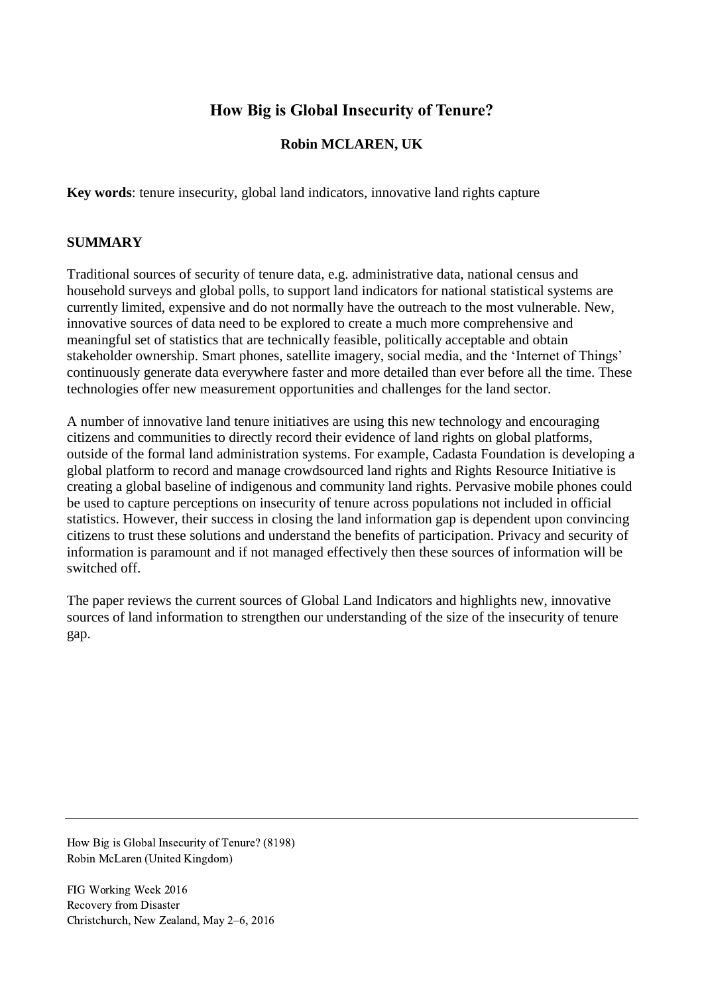# **How Big is Global Insecurity of Tenure?**

## **Robin MCLAREN, UK**

**Key words**: tenure insecurity, global land indicators, innovative land rights capture

### **SUMMARY**

Traditional sources of security of tenure data, e.g. administrative data, national census and household surveys and global polls, to support land indicators for national statistical systems are currently limited, expensive and do not normally have the outreach to the most vulnerable. New, innovative sources of data need to be explored to create a much more comprehensive and meaningful set of statistics that are technically feasible, politically acceptable and obtain stakeholder ownership. Smart phones, satellite imagery, social media, and the 'Internet of Things' continuously generate data everywhere faster and more detailed than ever before all the time. These technologies offer new measurement opportunities and challenges for the land sector.

A number of innovative land tenure initiatives are using this new technology and encouraging citizens and communities to directly record their evidence of land rights on global platforms, outside of the formal land administration systems. For example, Cadasta Foundation is developing a global platform to record and manage crowdsourced land rights and Rights Resource Initiative is creating a global baseline of indigenous and community land rights. Pervasive mobile phones could be used to capture perceptions on insecurity of tenure across populations not included in official statistics. However, their success in closing the land information gap is dependent upon convincing citizens to trust these solutions and understand the benefits of participation. Privacy and security of information is paramount and if not managed effectively then these sources of information will be switched off.

The paper reviews the current sources of Global Land Indicators and highlights new, innovative sources of land information to strengthen our understanding of the size of the insecurity of tenure gap.

How Big is Global Insecurity of Tenure? (8198) Robin McLaren (United Kingdom)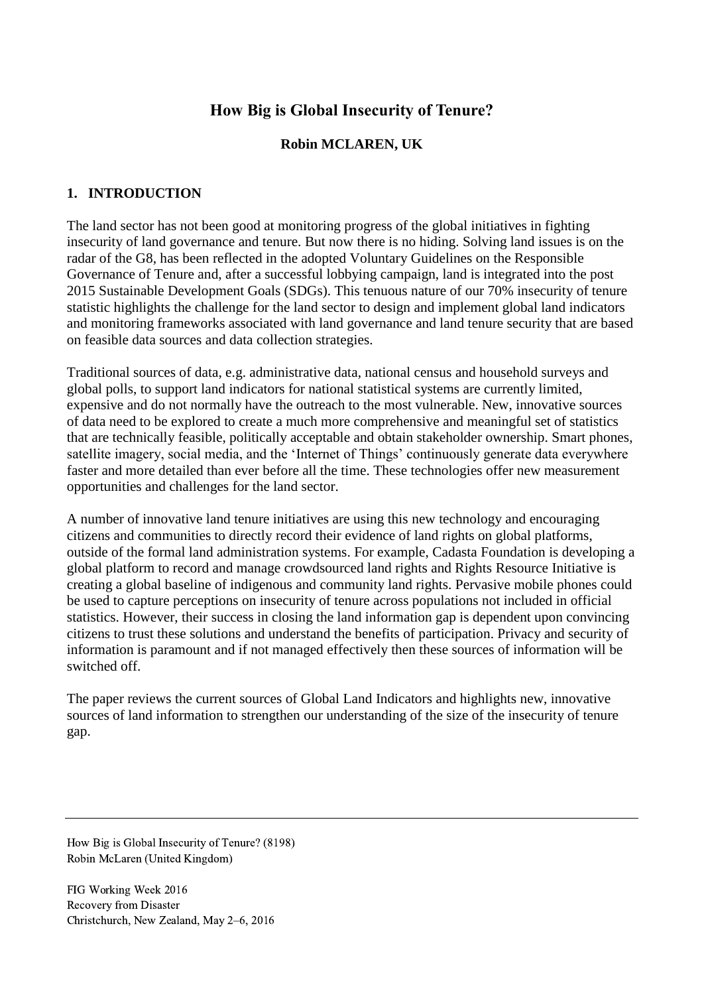# **How Big is Global Insecurity of Tenure?**

## **Robin MCLAREN, UK**

## **1. INTRODUCTION**

The land sector has not been good at monitoring progress of the global initiatives in fighting insecurity of land governance and tenure. But now there is no hiding. Solving land issues is on the radar of the G8, has been reflected in the adopted Voluntary Guidelines on the Responsible Governance of Tenure and, after a successful lobbying campaign, land is integrated into the post 2015 Sustainable Development Goals (SDGs). This tenuous nature of our 70% insecurity of tenure statistic highlights the challenge for the land sector to design and implement global land indicators and monitoring frameworks associated with land governance and land tenure security that are based on feasible data sources and data collection strategies.

Traditional sources of data, e.g. administrative data, national census and household surveys and global polls, to support land indicators for national statistical systems are currently limited, expensive and do not normally have the outreach to the most vulnerable. New, innovative sources of data need to be explored to create a much more comprehensive and meaningful set of statistics that are technically feasible, politically acceptable and obtain stakeholder ownership. Smart phones, satellite imagery, social media, and the 'Internet of Things' continuously generate data everywhere faster and more detailed than ever before all the time. These technologies offer new measurement opportunities and challenges for the land sector.

A number of innovative land tenure initiatives are using this new technology and encouraging citizens and communities to directly record their evidence of land rights on global platforms, outside of the formal land administration systems. For example, Cadasta Foundation is developing a global platform to record and manage crowdsourced land rights and Rights Resource Initiative is creating a global baseline of indigenous and community land rights. Pervasive mobile phones could be used to capture perceptions on insecurity of tenure across populations not included in official statistics. However, their success in closing the land information gap is dependent upon convincing citizens to trust these solutions and understand the benefits of participation. Privacy and security of information is paramount and if not managed effectively then these sources of information will be switched off.

The paper reviews the current sources of Global Land Indicators and highlights new, innovative sources of land information to strengthen our understanding of the size of the insecurity of tenure gap.

How Big is Global Insecurity of Tenure? (8198) Robin McLaren (United Kingdom)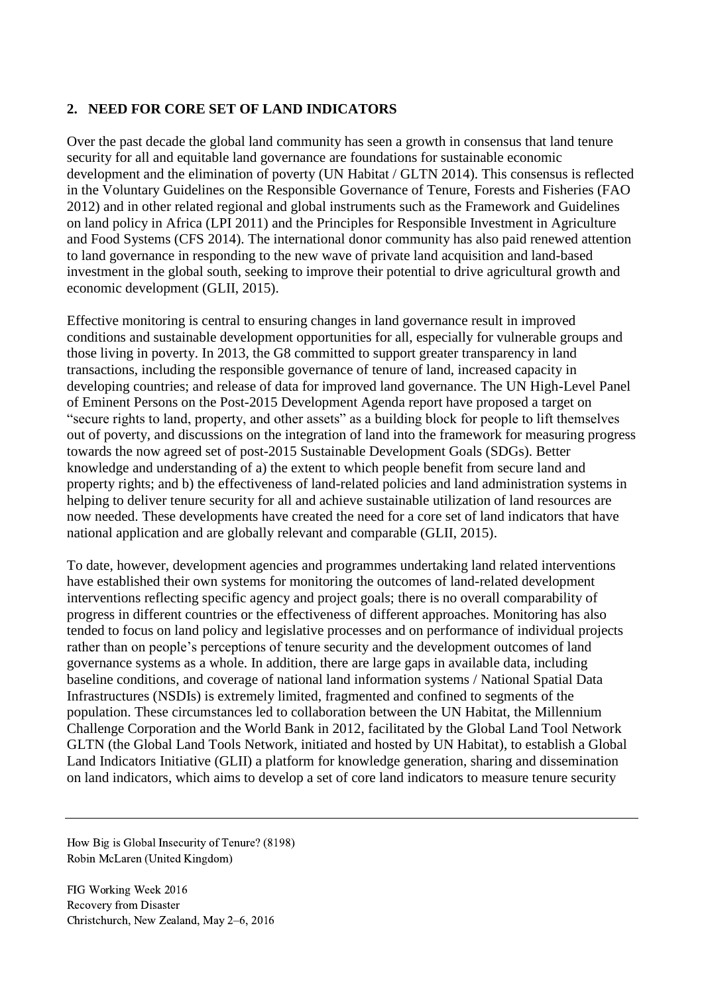### **2. NEED FOR CORE SET OF LAND INDICATORS**

Over the past decade the global land community has seen a growth in consensus that land tenure security for all and equitable land governance are foundations for sustainable economic development and the elimination of poverty (UN Habitat / GLTN 2014). This consensus is reflected in the Voluntary Guidelines on the Responsible Governance of Tenure, Forests and Fisheries (FAO 2012) and in other related regional and global instruments such as the Framework and Guidelines on land policy in Africa (LPI 2011) and the Principles for Responsible Investment in Agriculture and Food Systems (CFS 2014). The international donor community has also paid renewed attention to land governance in responding to the new wave of private land acquisition and land-based investment in the global south, seeking to improve their potential to drive agricultural growth and economic development (GLII, 2015).

Effective monitoring is central to ensuring changes in land governance result in improved conditions and sustainable development opportunities for all, especially for vulnerable groups and those living in poverty. In 2013, the G8 committed to support greater transparency in land transactions, including the responsible governance of tenure of land, increased capacity in developing countries; and release of data for improved land governance. The UN High-Level Panel of Eminent Persons on the Post-2015 Development Agenda report have proposed a target on "secure rights to land, property, and other assets" as a building block for people to lift themselves out of poverty, and discussions on the integration of land into the framework for measuring progress towards the now agreed set of post-2015 Sustainable Development Goals (SDGs). Better knowledge and understanding of a) the extent to which people benefit from secure land and property rights; and b) the effectiveness of land-related policies and land administration systems in helping to deliver tenure security for all and achieve sustainable utilization of land resources are now needed. These developments have created the need for a core set of land indicators that have national application and are globally relevant and comparable (GLII, 2015).

To date, however, development agencies and programmes undertaking land related interventions have established their own systems for monitoring the outcomes of land-related development interventions reflecting specific agency and project goals; there is no overall comparability of progress in different countries or the effectiveness of different approaches. Monitoring has also tended to focus on land policy and legislative processes and on performance of individual projects rather than on people's perceptions of tenure security and the development outcomes of land governance systems as a whole. In addition, there are large gaps in available data, including baseline conditions, and coverage of national land information systems / National Spatial Data Infrastructures (NSDIs) is extremely limited, fragmented and confined to segments of the population. These circumstances led to collaboration between the UN Habitat, the Millennium Challenge Corporation and the World Bank in 2012, facilitated by the Global Land Tool Network GLTN (the Global Land Tools Network, initiated and hosted by UN Habitat), to establish a Global Land Indicators Initiative (GLII) a platform for knowledge generation, sharing and dissemination on land indicators, which aims to develop a set of core land indicators to measure tenure security

How Big is Global Insecurity of Tenure? (8198) Robin McLaren (United Kingdom)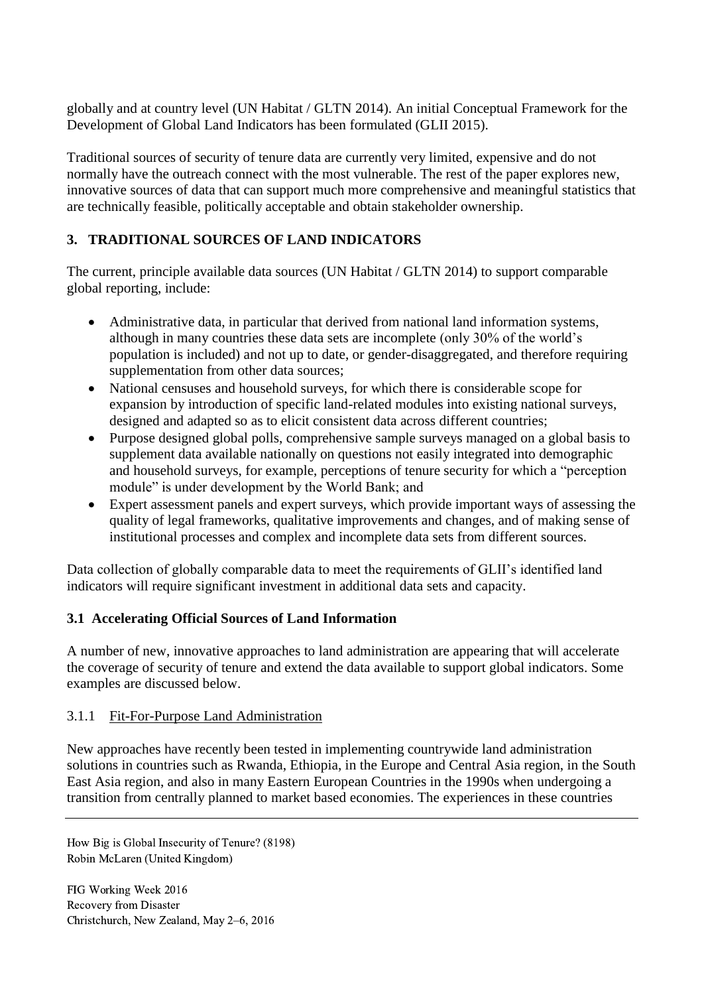globally and at country level (UN Habitat / GLTN 2014). An initial Conceptual Framework for the Development of Global Land Indicators has been formulated (GLII 2015).

Traditional sources of security of tenure data are currently very limited, expensive and do not normally have the outreach connect with the most vulnerable. The rest of the paper explores new, innovative sources of data that can support much more comprehensive and meaningful statistics that are technically feasible, politically acceptable and obtain stakeholder ownership.

# **3. TRADITIONAL SOURCES OF LAND INDICATORS**

The current, principle available data sources (UN Habitat / GLTN 2014) to support comparable global reporting, include:

- Administrative data, in particular that derived from national land information systems, although in many countries these data sets are incomplete (only 30% of the world's population is included) and not up to date, or gender-disaggregated, and therefore requiring supplementation from other data sources;
- National censuses and household surveys, for which there is considerable scope for expansion by introduction of specific land-related modules into existing national surveys, designed and adapted so as to elicit consistent data across different countries;
- Purpose designed global polls, comprehensive sample surveys managed on a global basis to supplement data available nationally on questions not easily integrated into demographic and household surveys, for example, perceptions of tenure security for which a "perception module" is under development by the World Bank; and
- Expert assessment panels and expert surveys, which provide important ways of assessing the quality of legal frameworks, qualitative improvements and changes, and of making sense of institutional processes and complex and incomplete data sets from different sources.

Data collection of globally comparable data to meet the requirements of GLII's identified land indicators will require significant investment in additional data sets and capacity.

# **3.1 Accelerating Official Sources of Land Information**

A number of new, innovative approaches to land administration are appearing that will accelerate the coverage of security of tenure and extend the data available to support global indicators. Some examples are discussed below.

# 3.1.1 Fit-For-Purpose Land Administration

New approaches have recently been tested in implementing countrywide land administration solutions in countries such as Rwanda, Ethiopia, in the Europe and Central Asia region, in the South East Asia region, and also in many Eastern European Countries in the 1990s when undergoing a transition from centrally planned to market based economies. The experiences in these countries

How Big is Global Insecurity of Tenure? (8198) Robin McLaren (United Kingdom)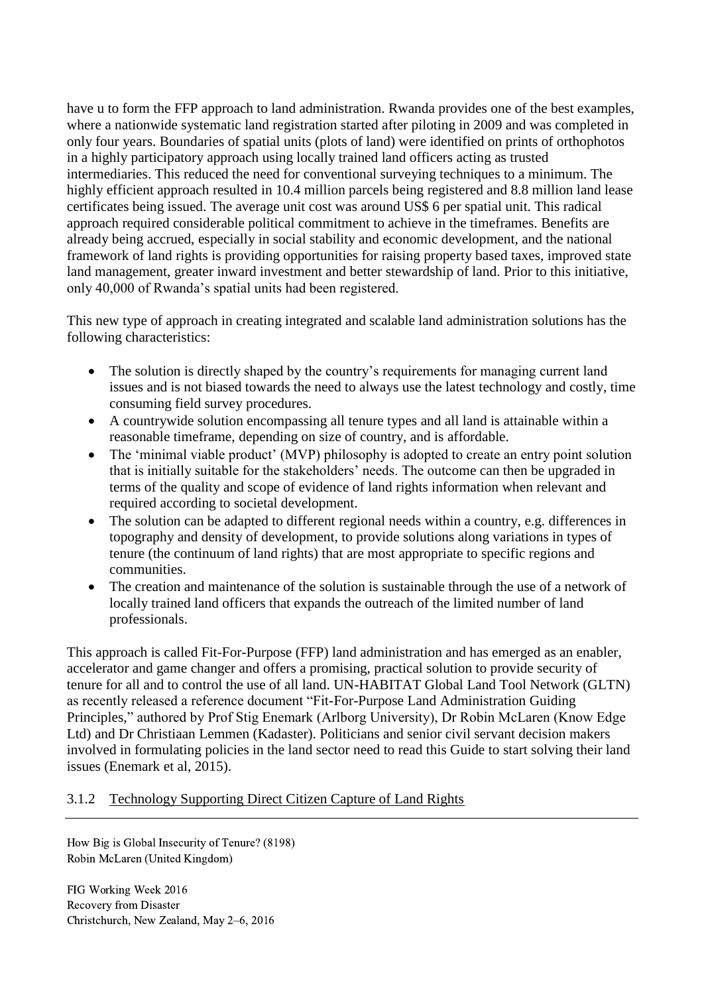have u to form the FFP approach to land administration. Rwanda provides one of the best examples, where a nationwide systematic land registration started after piloting in 2009 and was completed in only four years. Boundaries of spatial units (plots of land) were identified on prints of orthophotos in a highly participatory approach using locally trained land officers acting as trusted intermediaries. This reduced the need for conventional surveying techniques to a minimum. The highly efficient approach resulted in 10.4 million parcels being registered and 8.8 million land lease certificates being issued. The average unit cost was around US\$ 6 per spatial unit. This radical approach required considerable political commitment to achieve in the timeframes. Benefits are already being accrued, especially in social stability and economic development, and the national framework of land rights is providing opportunities for raising property based taxes, improved state land management, greater inward investment and better stewardship of land. Prior to this initiative, only 40,000 of Rwanda's spatial units had been registered.

This new type of approach in creating integrated and scalable land administration solutions has the following characteristics:

- The solution is directly shaped by the country's requirements for managing current land issues and is not biased towards the need to always use the latest technology and costly, time consuming field survey procedures.
- A countrywide solution encompassing all tenure types and all land is attainable within a reasonable timeframe, depending on size of country, and is affordable.
- The 'minimal viable product' (MVP) philosophy is adopted to create an entry point solution that is initially suitable for the stakeholders' needs. The outcome can then be upgraded in terms of the quality and scope of evidence of land rights information when relevant and required according to societal development.
- The solution can be adapted to different regional needs within a country, e.g. differences in topography and density of development, to provide solutions along variations in types of tenure (the continuum of land rights) that are most appropriate to specific regions and communities.
- The creation and maintenance of the solution is sustainable through the use of a network of locally trained land officers that expands the outreach of the limited number of land professionals.

This approach is called Fit-For-Purpose (FFP) land administration and has emerged as an enabler, accelerator and game changer and offers a promising, practical solution to provide security of tenure for all and to control the use of all land. UN-HABITAT Global Land Tool Network (GLTN) as recently released a reference document "Fit-For-Purpose Land Administration Guiding Principles," authored by Prof Stig Enemark (Arlborg University), Dr Robin McLaren (Know Edge Ltd) and Dr Christiaan Lemmen (Kadaster). Politicians and senior civil servant decision makers involved in formulating policies in the land sector need to read this Guide to start solving their land issues (Enemark et al, 2015).

### 3.1.2 Technology Supporting Direct Citizen Capture of Land Rights

How Big is Global Insecurity of Tenure? (8198) Robin McLaren (United Kingdom)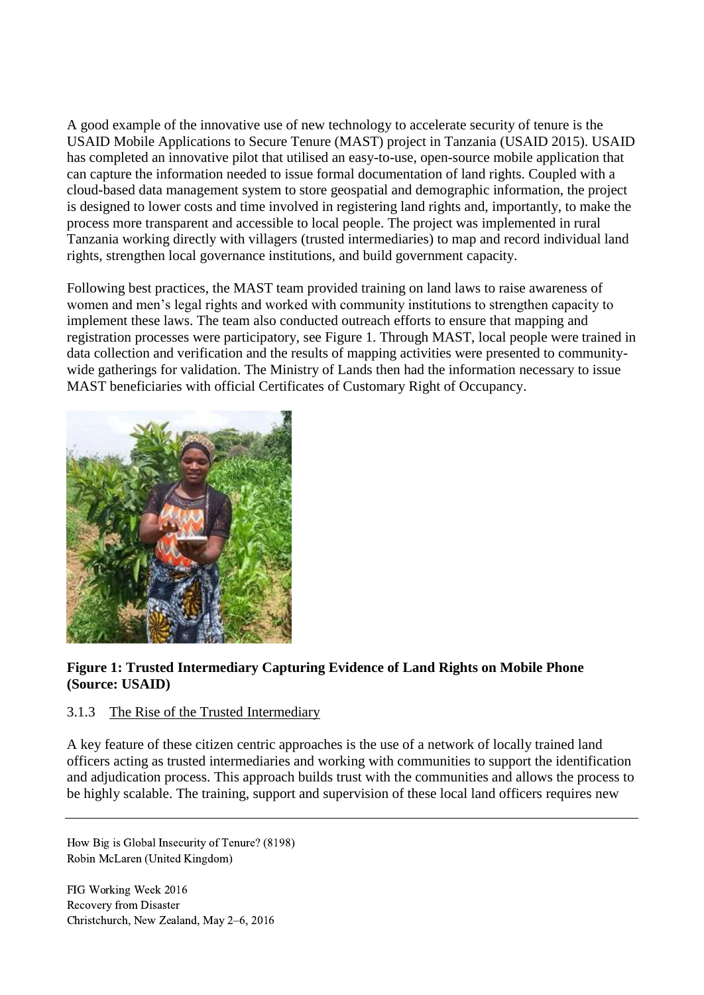A good example of the innovative use of new technology to accelerate security of tenure is the USAID Mobile Applications to Secure Tenure (MAST) project in Tanzania (USAID 2015). USAID has completed an innovative pilot that utilised an easy-to-use, open-source mobile application that can capture the information needed to issue formal documentation of land rights. Coupled with a cloud-based data management system to store geospatial and demographic information, the project is designed to lower costs and time involved in registering land rights and, importantly, to make the process more transparent and accessible to local people. The project was implemented in rural Tanzania working directly with villagers (trusted intermediaries) to map and record individual land rights, strengthen local governance institutions, and build government capacity.

Following best practices, the MAST team provided training on land laws to raise awareness of women and men's legal rights and worked with community institutions to strengthen capacity to implement these laws. The team also conducted outreach efforts to ensure that mapping and registration processes were participatory, see Figure 1. Through MAST, local people were trained in data collection and verification and the results of mapping activities were presented to communitywide gatherings for validation. The Ministry of Lands then had the information necessary to issue MAST beneficiaries with official Certificates of Customary Right of Occupancy.



### **Figure 1: Trusted Intermediary Capturing Evidence of Land Rights on Mobile Phone (Source: USAID)**

### 3.1.3 The Rise of the Trusted Intermediary

A key feature of these citizen centric approaches is the use of a network of locally trained land officers acting as trusted intermediaries and working with communities to support the identification and adjudication process. This approach builds trust with the communities and allows the process to be highly scalable. The training, support and supervision of these local land officers requires new

How Big is Global Insecurity of Tenure? (8198) Robin McLaren (United Kingdom)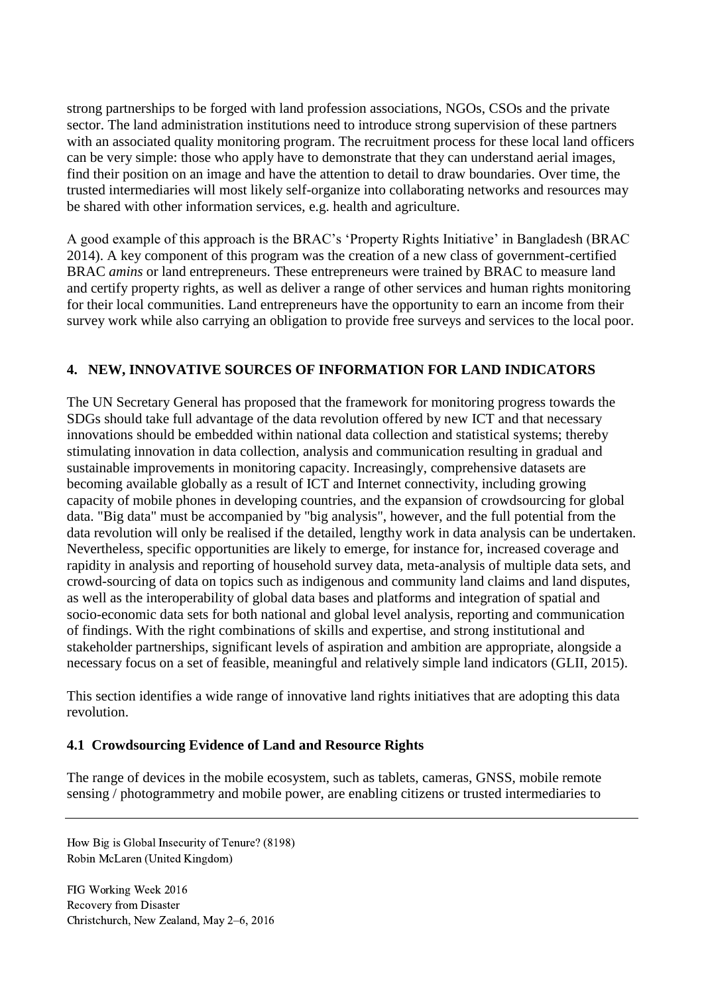strong partnerships to be forged with land profession associations, NGOs, CSOs and the private sector. The land administration institutions need to introduce strong supervision of these partners with an associated quality monitoring program. The recruitment process for these local land officers can be very simple: those who apply have to demonstrate that they can understand aerial images, find their position on an image and have the attention to detail to draw boundaries. Over time, the trusted intermediaries will most likely self-organize into collaborating networks and resources may be shared with other information services, e.g. health and agriculture.

A good example of this approach is the BRAC's 'Property Rights Initiative' in Bangladesh (BRAC 2014). A key component of this program was the creation of a new class of government-certified BRAC *amins* or land entrepreneurs. These entrepreneurs were trained by BRAC to measure land and certify property rights, as well as deliver a range of other services and human rights monitoring for their local communities. Land entrepreneurs have the opportunity to earn an income from their survey work while also carrying an obligation to provide free surveys and services to the local poor.

#### **4. NEW, INNOVATIVE SOURCES OF INFORMATION FOR LAND INDICATORS**

The UN Secretary General has proposed that the framework for monitoring progress towards the SDGs should take full advantage of the data revolution offered by new ICT and that necessary innovations should be embedded within national data collection and statistical systems; thereby stimulating innovation in data collection, analysis and communication resulting in gradual and sustainable improvements in monitoring capacity. Increasingly, comprehensive datasets are becoming available globally as a result of ICT and Internet connectivity, including growing capacity of mobile phones in developing countries, and the expansion of crowdsourcing for global data. "Big data" must be accompanied by "big analysis", however, and the full potential from the data revolution will only be realised if the detailed, lengthy work in data analysis can be undertaken. Nevertheless, specific opportunities are likely to emerge, for instance for, increased coverage and rapidity in analysis and reporting of household survey data, meta-analysis of multiple data sets, and crowd-sourcing of data on topics such as indigenous and community land claims and land disputes, as well as the interoperability of global data bases and platforms and integration of spatial and socio-economic data sets for both national and global level analysis, reporting and communication of findings. With the right combinations of skills and expertise, and strong institutional and stakeholder partnerships, significant levels of aspiration and ambition are appropriate, alongside a necessary focus on a set of feasible, meaningful and relatively simple land indicators (GLII, 2015).

This section identifies a wide range of innovative land rights initiatives that are adopting this data revolution.

#### **4.1 Crowdsourcing Evidence of Land and Resource Rights**

The range of devices in the mobile ecosystem, such as tablets, cameras, GNSS, mobile remote sensing / photogrammetry and mobile power, are enabling citizens or trusted intermediaries to

How Big is Global Insecurity of Tenure? (8198) Robin McLaren (United Kingdom)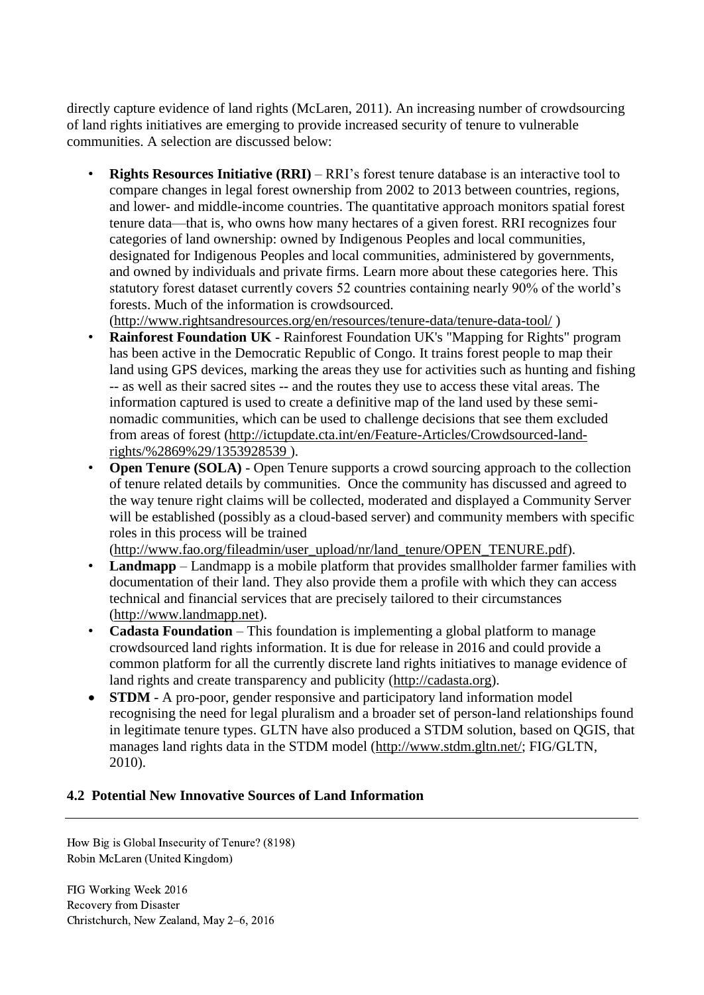directly capture evidence of land rights (McLaren, 2011). An increasing number of crowdsourcing of land rights initiatives are emerging to provide increased security of tenure to vulnerable communities. A selection are discussed below:

- **Rights Resources Initiative (RRI)** RRI's forest tenure database is an interactive tool to compare changes in legal forest ownership from 2002 to 2013 between countries, regions, and lower- and middle-income countries. The quantitative approach monitors spatial forest tenure data—that is, who owns how many hectares of a given forest. RRI recognizes four categories of land ownership: owned by Indigenous Peoples and local communities, designated for Indigenous Peoples and local communities, administered by governments, and owned by individuals and private firms. Learn more about these categories [here.](http://www.rightsandresources.org/resources/tenure-data/the-four-categories-of-forest-tenure/) This statutory forest dataset currently covers 52 countries containing nearly 90% of the world's forests. Much of the information is crowdsourced. [\(http://www.rightsandresources.org/en/resources/tenure-data/tenure-data-tool/](http://www.rightsandresources.org/en/resources/tenure-data/tenure-data-tool/) )
- **Rainforest Foundation UK** Rainforest Foundation UK's "Mapping for Rights" program has been active in the Democratic Republic of Congo. It trains forest people to map their land using GPS devices, marking the areas they use for activities such as hunting and fishing -- as well as their sacred sites -- and the routes they use to access these vital areas. The information captured is used to create a definitive map of the land used by these seminomadic communities, which can be used to challenge decisions that see them excluded from areas of forest [\(http://ictupdate.cta.int/en/Feature-Articles/Crowdsourced-land](http://ictupdate.cta.int/en/Feature-Articles/Crowdsourced-land-rights/%2869%29/1353928539)[rights/%2869%29/1353928539](http://ictupdate.cta.int/en/Feature-Articles/Crowdsourced-land-rights/%2869%29/1353928539) ).
- **Open Tenure (SOLA)** Open Tenure supports a crowd sourcing approach to the collection of tenure related details by communities. Once the community has discussed and agreed to the way tenure right claims will be collected, moderated and displayed a Community Server will be established (possibly as a cloud-based server) and community members with specific roles in this process will be trained

[\(http://www.fao.org/fileadmin/user\\_upload/nr/land\\_tenure/OPEN\\_TENURE.pdf\)](http://www.fao.org/fileadmin/user_upload/nr/land_tenure/OPEN_TENURE.pdf).

- **Landmapp** Landmapp is a mobile platform that provides smallholder farmer families with documentation of their land. They also provide them a profile with which they can access technical and financial services that are precisely tailored to their circumstances [\(http://www.landmapp.net\)](http://www.landmapp.net/).
- **Cadasta Foundation** This foundation is implementing a global platform to manage crowdsourced land rights information. It is due for release in 2016 and could provide a common platform for all the currently discrete land rights initiatives to manage evidence of land rights and create transparency and publicity [\(http://cadasta.org\)](http://cadasta.org/).
- **STDM** A pro-poor, gender responsive and participatory land information model recognising the need for legal pluralism and a broader set of person-land relationships found in legitimate tenure types. GLTN have also produced a STDM solution, based on QGIS, that manages land rights data in the STDM model [\(http://www.stdm.gltn.net/;](http://www.stdm.gltn.net/) FIG/GLTN, 2010).

### **4.2 Potential New Innovative Sources of Land Information**

How Big is Global Insecurity of Tenure? (8198) Robin McLaren (United Kingdom)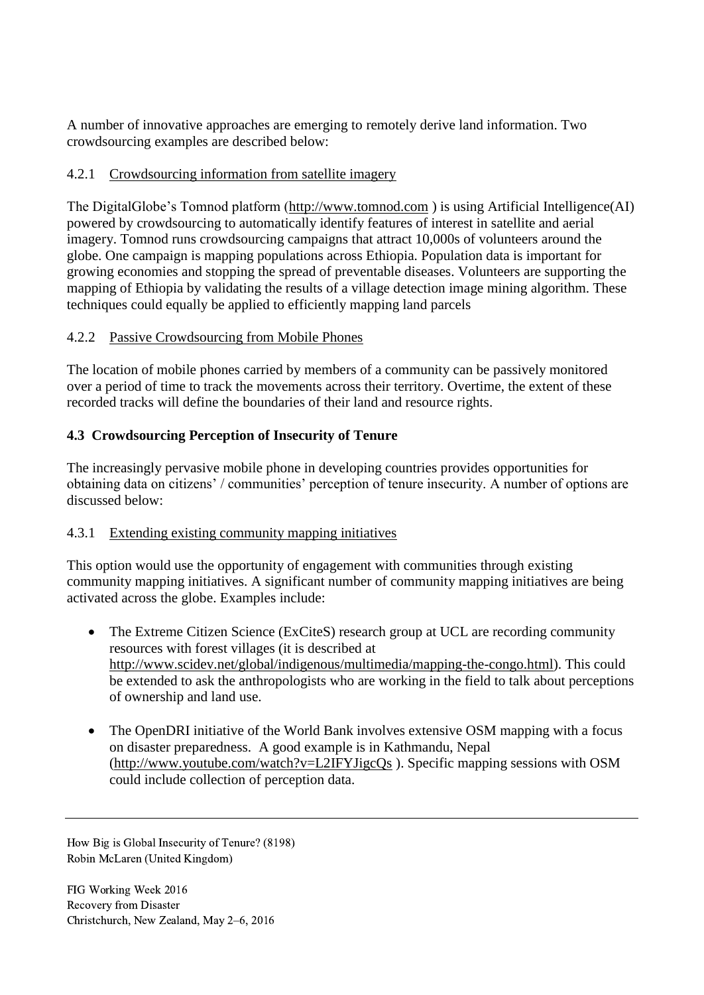A number of innovative approaches are emerging to remotely derive land information. Two crowdsourcing examples are described below:

# 4.2.1 Crowdsourcing information from satellite imagery

The DigitalGlobe's Tomnod platform [\(http://www.tomnod.com](http://www.tomnod.com/) ) is using Artificial Intelligence(AI) powered by crowdsourcing to automatically identify features of interest in satellite and aerial imagery. Tomnod runs crowdsourcing campaigns that attract 10,000s of volunteers around the globe. One campaign is mapping populations across Ethiopia. Population data is important for growing economies and stopping the spread of preventable diseases. Volunteers are supporting the mapping of Ethiopia by validating the results of a village detection image mining algorithm. These techniques could equally be applied to efficiently mapping land parcels

# 4.2.2 Passive Crowdsourcing from Mobile Phones

The location of mobile phones carried by members of a community can be passively monitored over a period of time to track the movements across their territory. Overtime, the extent of these recorded tracks will define the boundaries of their land and resource rights.

# **4.3 Crowdsourcing Perception of Insecurity of Tenure**

The increasingly pervasive mobile phone in developing countries provides opportunities for obtaining data on citizens' / communities' perception of tenure insecurity. A number of options are discussed below:

# 4.3.1 Extending existing community mapping initiatives

This option would use the opportunity of engagement with communities through existing community mapping initiatives. A significant number of community mapping initiatives are being activated across the globe. Examples include:

- The Extreme Citizen Science (ExCiteS) research group at UCL are recording community resources with forest villages (it is described at [http://www.scidev.net/global/indigenous/multimedia/mapping-the-congo.html\)](http://www.scidev.net/global/indigenous/multimedia/mapping-the-congo.html). This could be extended to ask the anthropologists who are working in the field to talk about perceptions of ownership and land use.
- The OpenDRI initiative of the World Bank involves extensive OSM mapping with a focus on disaster preparedness. A good example is in Kathmandu, Nepal [\(http://www.youtube.com/watch?v=L2IFYJigcQs](http://www.youtube.com/watch?v=L2IFYJigcQs) ). Specific mapping sessions with OSM could include collection of perception data.

How Big is Global Insecurity of Tenure? (8198) Robin McLaren (United Kingdom)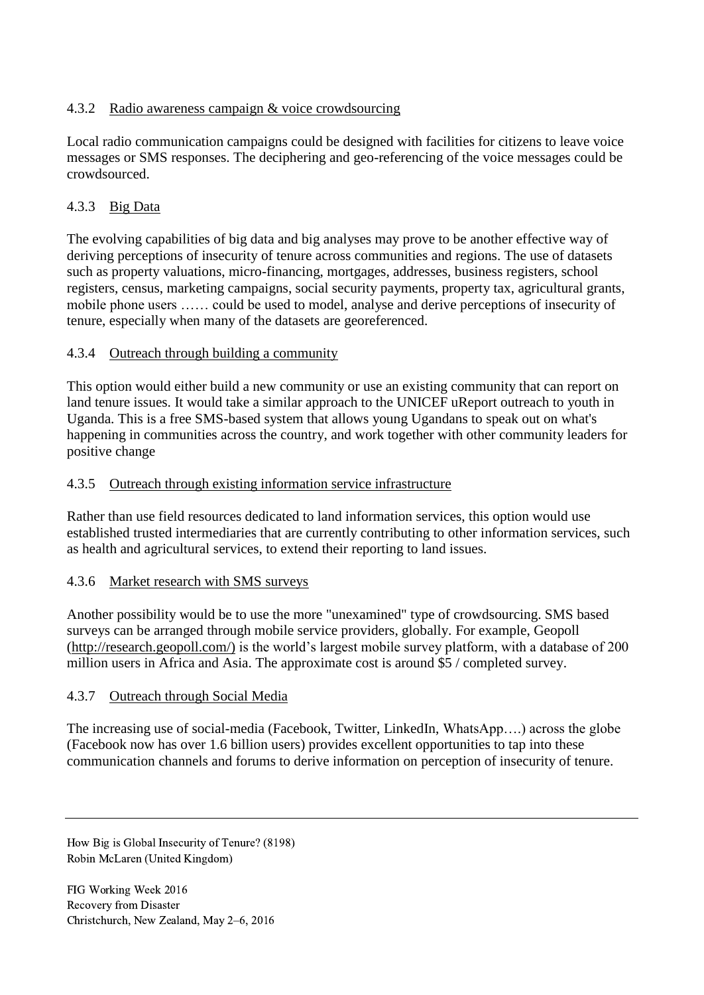## 4.3.2 Radio awareness campaign & voice crowdsourcing

Local radio communication campaigns could be designed with facilities for citizens to leave voice messages or SMS responses. The deciphering and geo-referencing of the voice messages could be crowdsourced.

# 4.3.3 Big Data

The evolving capabilities of big data and big analyses may prove to be another effective way of deriving perceptions of insecurity of tenure across communities and regions. The use of datasets such as property valuations, micro-financing, mortgages, addresses, business registers, school registers, census, marketing campaigns, social security payments, property tax, agricultural grants, mobile phone users …… could be used to model, analyse and derive perceptions of insecurity of tenure, especially when many of the datasets are georeferenced.

#### 4.3.4 Outreach through building a community

This option would either build a new community or use an existing community that can report on land tenure issues. It would take a similar approach to the UNICEF uReport outreach to youth in Uganda. This is a free SMS-based system that allows young Ugandans to speak out on what's happening in communities across the country, and work together with other community leaders for positive change

#### 4.3.5 Outreach through existing information service infrastructure

Rather than use field resources dedicated to land information services, this option would use established trusted intermediaries that are currently contributing to other information services, such as health and agricultural services, to extend their reporting to land issues.

#### 4.3.6 Market research with SMS surveys

Another possibility would be to use the more "unexamined" type of crowdsourcing. SMS based surveys can be arranged through mobile service providers, globally. For example, Geopoll [\(http://research.geopoll.com/\)](http://research.geopoll.com/) is the world's largest mobile survey platform, with a database of 200 million users in Africa and Asia. The approximate cost is around \$5 / completed survey.

#### 4.3.7 Outreach through Social Media

The increasing use of social-media (Facebook, Twitter, LinkedIn, WhatsApp….) across the globe (Facebook now has over 1.6 billion users) provides excellent opportunities to tap into these communication channels and forums to derive information on perception of insecurity of tenure.

How Big is Global Insecurity of Tenure? (8198) Robin McLaren (United Kingdom)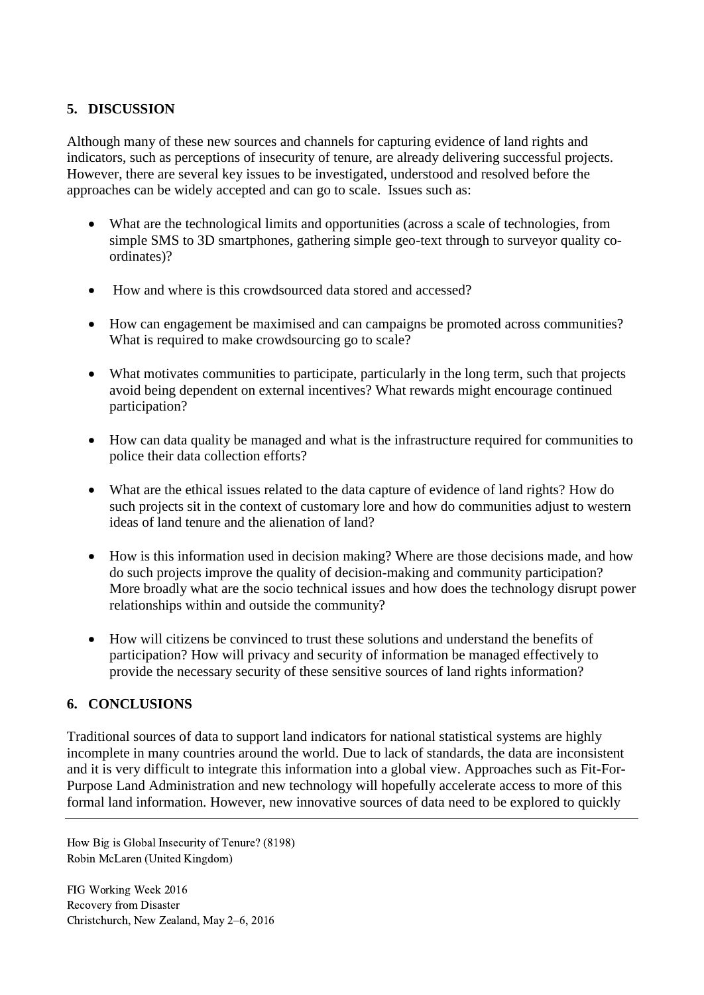### **5. DISCUSSION**

Although many of these new sources and channels for capturing evidence of land rights and indicators, such as perceptions of insecurity of tenure, are already delivering successful projects. However, there are several key issues to be investigated, understood and resolved before the approaches can be widely accepted and can go to scale. Issues such as:

- What are the technological limits and opportunities (across a scale of technologies, from simple SMS to 3D smartphones, gathering simple geo-text through to surveyor quality coordinates)?
- How and where is this crowdsourced data stored and accessed?
- How can engagement be maximised and can campaigns be promoted across communities? What is required to make crowdsourcing go to scale?
- What motivates communities to participate, particularly in the long term, such that projects avoid being dependent on external incentives? What rewards might encourage continued participation?
- How can data quality be managed and what is the infrastructure required for communities to police their data collection efforts?
- What are the ethical issues related to the data capture of evidence of land rights? How do such projects sit in the context of customary lore and how do communities adjust to western ideas of land tenure and the alienation of land?
- How is this information used in decision making? Where are those decisions made, and how do such projects improve the quality of decision-making and community participation? More broadly what are the socio technical issues and how does the technology disrupt power relationships within and outside the community?
- How will citizens be convinced to trust these solutions and understand the benefits of participation? How will privacy and security of information be managed effectively to provide the necessary security of these sensitive sources of land rights information?

### **6. CONCLUSIONS**

Traditional sources of data to support land indicators for national statistical systems are highly incomplete in many countries around the world. Due to lack of standards, the data are inconsistent and it is very difficult to integrate this information into a global view. Approaches such as Fit-For-Purpose Land Administration and new technology will hopefully accelerate access to more of this formal land information. However, new innovative sources of data need to be explored to quickly

How Big is Global Insecurity of Tenure? (8198) Robin McLaren (United Kingdom)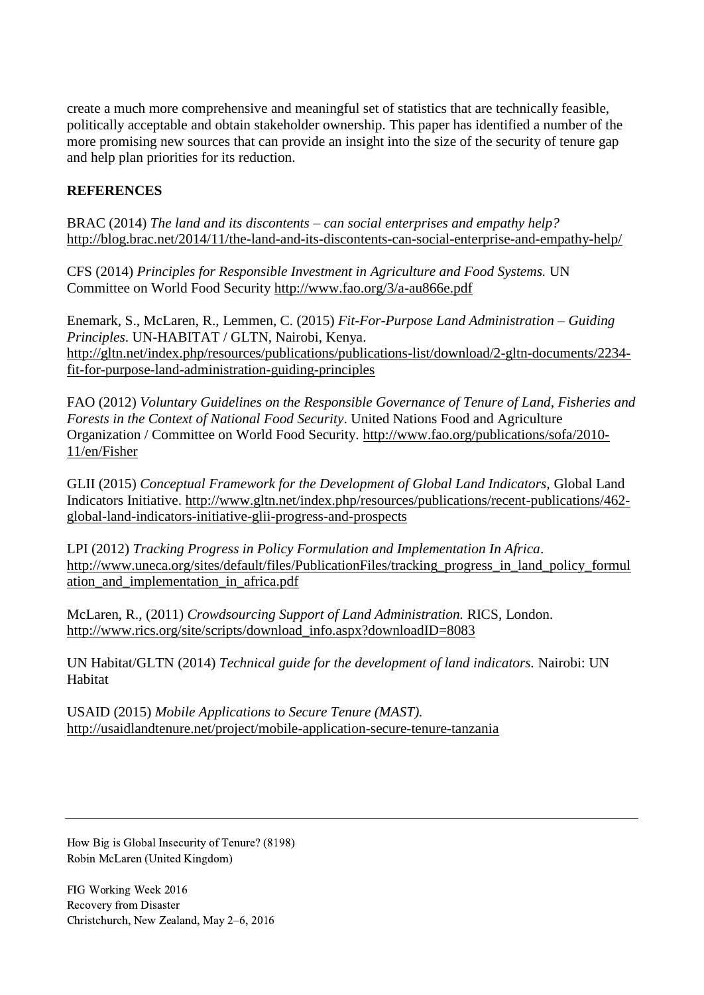create a much more comprehensive and meaningful set of statistics that are technically feasible, politically acceptable and obtain stakeholder ownership. This paper has identified a number of the more promising new sources that can provide an insight into the size of the security of tenure gap and help plan priorities for its reduction.

### **REFERENCES**

BRAC (2014) *The land and its discontents – can social enterprises and empathy help?*  <http://blog.brac.net/2014/11/the-land-and-its-discontents-can-social-enterprise-and-empathy-help/>

CFS (2014) *Principles for Responsible Investment in Agriculture and Food Systems.* UN Committee on World Food Security<http://www.fao.org/3/a-au866e.pdf>

Enemark, S., McLaren, R., Lemmen, C. (2015) *Fit-For-Purpose Land Administration – Guiding Principles*. UN-HABITAT / GLTN, Nairobi, Kenya. [http://gltn.net/index.php/resources/publications/publications-list/download/2-gltn-documents/2234](http://gltn.net/index.php/resources/publications/publications-list/download/2-gltn-documents/2234-fit-for-purpose-land-administration-guiding-principles) [fit-for-purpose-land-administration-guiding-principles](http://gltn.net/index.php/resources/publications/publications-list/download/2-gltn-documents/2234-fit-for-purpose-land-administration-guiding-principles)

FAO (2012) *Voluntary Guidelines on the Responsible Governance of Tenure of Land, Fisheries and Forests in the Context of National Food Security*. United Nations Food and Agriculture Organization / Committee on World Food Security. [http://www.fao.org/publications/sofa/2010-](http://www.fao.org/publications/sofa/2010-11/en/Fisher) [11/en/Fisher](http://www.fao.org/publications/sofa/2010-11/en/Fisher)

GLII (2015) *Conceptual Framework for the Development of Global Land Indicators,* Global Land Indicators Initiative. [http://www.gltn.net/index.php/resources/publications/recent-publications/462](http://www.gltn.net/index.php/resources/publications/recent-publications/462-global-land-indicators-initiative-glii-progress-and-prospects) [global-land-indicators-initiative-glii-progress-and-prospects](http://www.gltn.net/index.php/resources/publications/recent-publications/462-global-land-indicators-initiative-glii-progress-and-prospects)

LPI (2012) *Tracking Progress in Policy Formulation and Implementation In Africa*. [http://www.uneca.org/sites/default/files/PublicationFiles/tracking\\_progress\\_in\\_land\\_policy\\_formul](http://www.uneca.org/sites/default/files/PublicationFiles/tracking_progress_in_land_policy_formulation_and_implementation_in_africa.pdf) [ation\\_and\\_implementation\\_in\\_africa.pdf](http://www.uneca.org/sites/default/files/PublicationFiles/tracking_progress_in_land_policy_formulation_and_implementation_in_africa.pdf)

McLaren, R., (2011) *Crowdsourcing Support of Land Administration.* RICS, London. [http://www.rics.org/site/scripts/download\\_info.aspx?downloadID=8083](http://www.rics.org/site/scripts/download_info.aspx?downloadID=8083)

UN Habitat/GLTN (2014) *Technical guide for the development of land indicators.* Nairobi: UN Habitat

USAID (2015) *Mobile Applications to Secure Tenure (MAST).* <http://usaidlandtenure.net/project/mobile-application-secure-tenure-tanzania>

How Big is Global Insecurity of Tenure? (8198) Robin McLaren (United Kingdom)